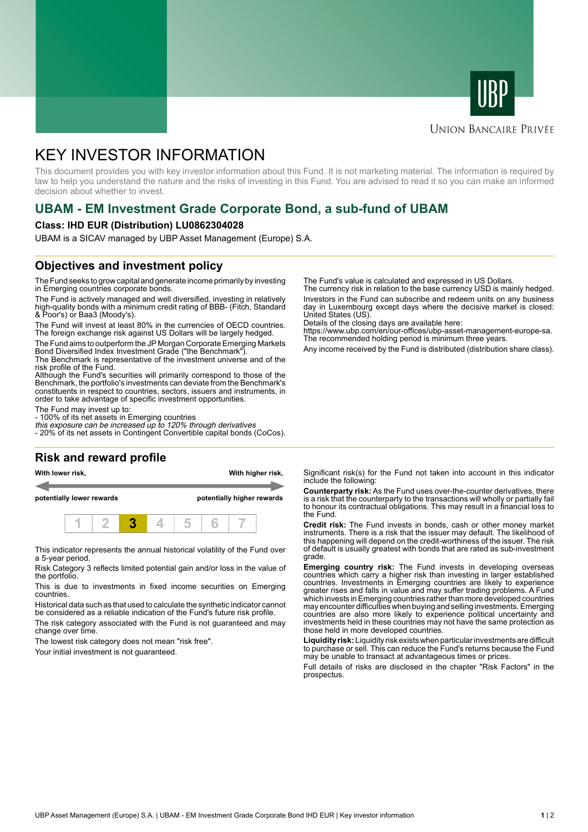



## **UNION BANCAIRE PRIVÉE**

# KEY INVESTOR INFORMATION

This document provides you with key investor information about this Fund. It is not marketing material. The information is required by law to help you understand the nature and the risks of investing in this Fund. You are advised to read it so you can make an informed decision about whether to invest.

# **UBAM - EM Investment Grade Corporate Bond, a sub-fund of UBAM**

### **Class: IHD EUR (Distribution) LU0862304028**

UBAM is a SICAV managed by UBP Asset Management (Europe) S.A.

## **Objectives and investment policy**

The Fund seeks to grow capital and generate income primarily by investing in Emerging countries corporate bonds.

The Fund is actively managed and well diversified, investing in relatively high-quality bonds with a minimum credit rating of BBB- (Fitch, Standard & Poor's) or Baa3 (Moody's).

The Fund will invest at least 80% in the currencies of OECD countries. The foreign exchange risk against US Dollars will be largely hedged.

The Fund aims to outperform the JP Morgan Corporate Emerging Markets Bond Diversified Index Investment Grade ("the Benchmark").

The Benchmark is representative of the investment universe and of the risk profile of the Fund.

Although the Fund's securities will primarily correspond to those of the Benchmark, the portfolio's investments can deviate from the Benchmark's constituents in respect to countries, sectors, issuers and instruments, in order to take advantage of specific investment opportunities.

The Fund may invest up to:

- 100% of its net assets in Emerging countries

this exposure can be increased up to 120% through derivatives - 20% of its net assets in Contingent Convertible capital bonds (CoCos).

### **Risk and reward profile**

**With lower risk, With higher risk,**

**potentially lower rewards potentially higher rewards**



This indicator represents the annual historical volatility of the Fund over a 5-year period.

Risk Category 3 reflects limited potential gain and/or loss in the value of the portfolio.

This is due to investments in fixed income securities on Emerging countries.

Historical data such as that used to calculate the synthetic indicator cannot be considered as a reliable indication of the Fund's future risk profile.

The risk category associated with the Fund is not guaranteed and may change over time.

The lowest risk category does not mean "risk free".

Your initial investment is not guaranteed.

The Fund's value is calculated and expressed in US Dollars.

The currency risk in relation to the base currency USD is mainly hedged. Investors in the Fund can subscribe and redeem units on any business day in Luxembourg except days where the decisive market is closed: United States (US).

Details of the closing days are available here:

https://www.ubp.com/en/our-offices/ubp-asset-management-europe-sa. The recommended holding period is minimum three years.

Any income received by the Fund is distributed (distribution share class).

Significant risk(s) for the Fund not taken into account in this indicator include the following:

**Counterparty risk:** As the Fund uses over-the-counter derivatives, there is a risk that the counterparty to the transactions will wholly or partially fail to honour its contractual obligations. This may result in a financial loss to the Fund.

**Credit risk:** The Fund invests in bonds, cash or other money market instruments. There is a risk that the issuer may default. The likelihood of this happening will depend on the credit-worthiness of the issuer. The risk of default is usually greatest with bonds that are rated as sub-investment grade.

**Emerging country risk:** The Fund invests in developing overseas countries which carry a higher risk than investing in larger established countries. Investments in Emerging countries are likely to experience greater rises and falls in value and may suffer trading problems. A Fund which invests in Emerging countries rather than more developed countries may encounter difficulties when buying and selling investments. Emerging countries are also more likely to experience political uncertainty and investments held in these countries may not have the same protection as those held in more developed countries.

**Liquidity risk:** Liquidity risk exists when particular investments are difficult to purchase or sell. This can reduce the Fund's returns because the Fund may be unable to transact at advantageous times or prices.

Full details of risks are disclosed in the chapter "Risk Factors" in the prospectus.